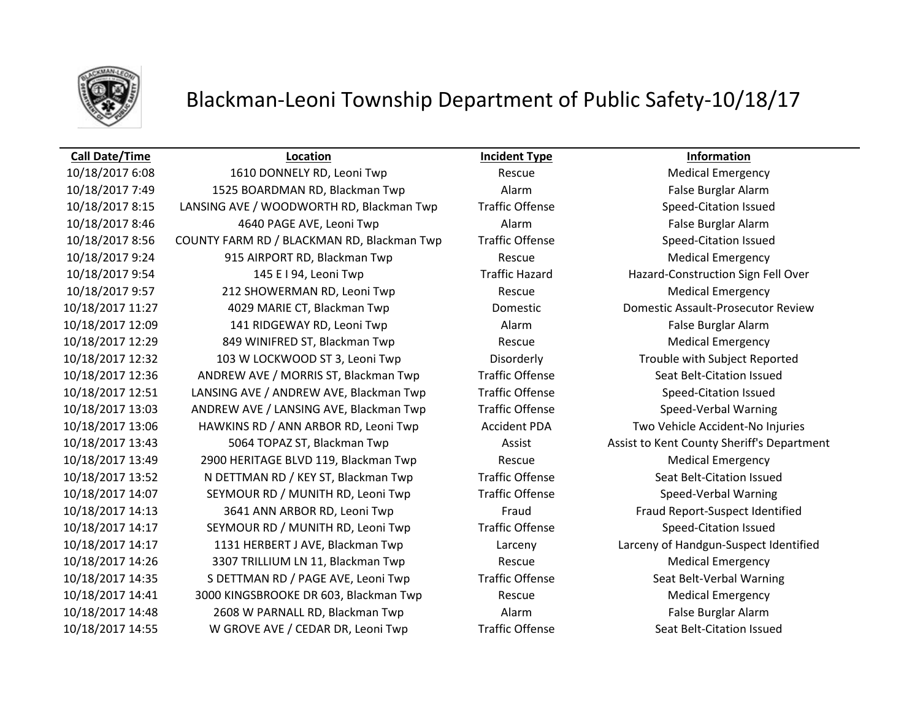

# Blackman-Leoni Township Department of Public Safety-10/18/17

### **Call Date/Time Location Incident Type Information**

10/18/2017 6:08 1610 DONNELY RD, Leoni Twp Rescue Medical Emergency 10/18/2017 7:49 1525 BOARDMAN RD, Blackman Twp Alarm False Burglar Alarm 10/18/2017 8:15 LANSING AVE / WOODWORTH RD, Blackman Twp Traffic Offense Speed-Citation Issued 10/18/2017 8:46 4640 PAGE AVE, Leoni Twp Alarm False Burglar Alarm 10/18/2017 8:56 COUNTY FARM RD / BLACKMAN RD, Blackman Twp Traffic Offense Speed-Citation Issued 10/18/2017 9:24 915 AIRPORT RD, Blackman Twp Rescue Medical Emergency 10/18/2017 9:54 145 E I 94, Leoni Twp Traffic Hazard Hazard-Construction Sign Fell Over 10/18/2017 9:57 212 SHOWERMAN RD, Leoni Twp Rescue Medical Emergency 10/18/2017 11:27 4029 MARIE CT, Blackman Twp Domestic Domestic Assault-Prosecutor Review 10/18/2017 12:09 141 RIDGEWAY RD, Leoni Twp Alarm False Burglar Alarm 10/18/2017 12:29 849 WINIFRED ST, Blackman Twp Rescue Medical Emergency 10/18/2017 12:32 103 W LOCKWOOD ST 3, Leoni Twp Disorderly Trouble with Subject Reported 10/18/2017 12:36 ANDREW AVE / MORRIS ST, Blackman Twp Traffic Offense Seat Belt-Citation Issued 10/18/2017 12:51 LANSING AVE / ANDREW AVE, Blackman Twp Traffic Offense Speed-Citation Issued 10/18/2017 13:03 ANDREW AVE / LANSING AVE, Blackman Twp Traffic Offense Speed-Verbal Warning 10/18/2017 13:06 HAWKINS RD / ANN ARBOR RD, Leoni Twp Accident PDA Two Vehicle Accident-No Injuries 10/18/2017 13:43 5064 TOPAZ ST, Blackman Twp **Assist Assist Assist to Kent County Sheriff's Department** 10/18/2017 13:49 2900 HERITAGE BLVD 119, Blackman Twp Rescue Medical Emergency 10/18/2017 13:52 N DETTMAN RD / KEY ST, Blackman Twp Traffic Offense Seat Belt-Citation Issued 10/18/2017 14:07 SEYMOUR RD / MUNITH RD, Leoni Twp Traffic Offense Speed-Verbal Warning 10/18/2017 14:13 3641 ANN ARBOR RD, Leoni Twp Fraud Fraud Report-Suspect Identified 10/18/2017 14:17 SEYMOUR RD / MUNITH RD, Leoni Twp Traffic Offense Speed-Citation Issued 10/18/2017 14:17 1131 HERBERT J AVE, Blackman Twp Larceny Larceny of Handgun-Suspect Identified 10/18/2017 14:26 3307 TRILLIUM LN 11, Blackman Twp Rescue Medical Emergency 10/18/2017 14:35 S DETTMAN RD / PAGE AVE, Leoni Twp Traffic Offense Seat Belt-Verbal Warning 10/18/2017 14:41 3000 KINGSBROOKE DR 603, Blackman Twp Rescue Medical Emergency 10/18/2017 14:48 2608 W PARNALL RD, Blackman Twp Alarm Alarm False Burglar Alarm 10/18/2017 14:55 W GROVE AVE / CEDAR DR, Leoni Twp Traffic Offense Seat Belt-Citation Issued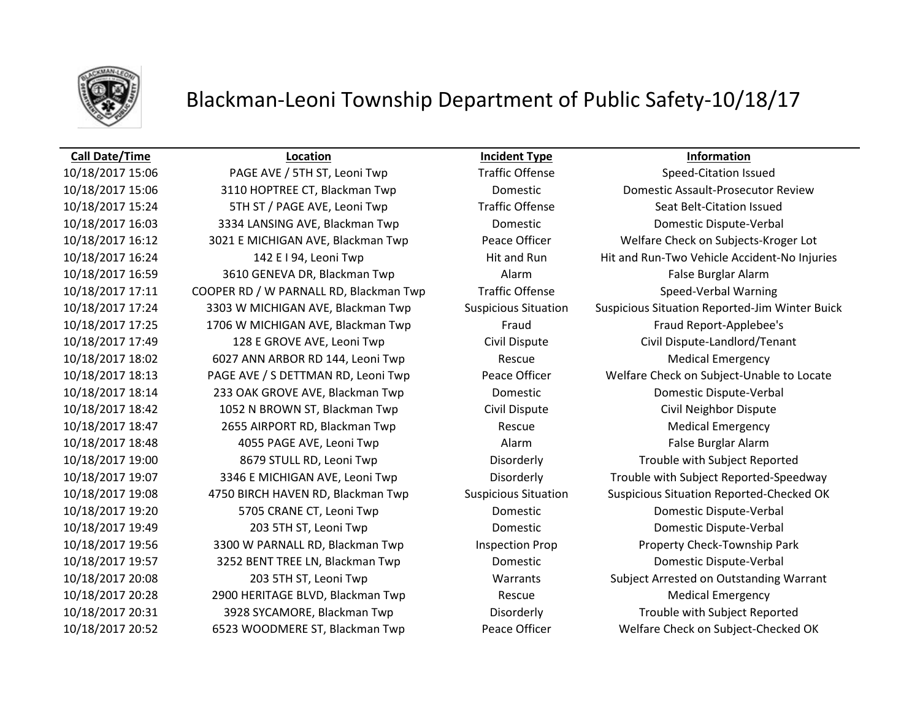

# Blackman-Leoni Township Department of Public Safety-10/18/17

### **Call Date/Time Location Incident Type Information**

10/18/2017 15:06 PAGE AVE / 5TH ST, Leoni Twp Traffic Offense Speed-Citation Issued 10/18/2017 15:06 3110 HOPTREE CT, Blackman Twp Domestic Domestic Assault-Prosecutor Review 10/18/2017 15:24 5TH ST / PAGE AVE, Leoni Twp Traffic Offense Seat Belt-Citation Issued 10/18/2017 16:03 3334 LANSING AVE, Blackman Twp Domestic Domestic Dispute-Verbal 10/18/2017 16:12 3021 E MICHIGAN AVE, Blackman Twp Peace Officer Welfare Check on Subjects-Kroger Lot 10/18/2017 16:24 142 E I 94, Leoni Twp Hit and Run Hit and Run-Two Vehicle Accident-No Injuries 10/18/2017 16:59 3610 GENEVA DR, Blackman Twp Alarm Alarm Alarm False Burglar Alarm 10/18/2017 17:11 COOPER RD / W PARNALL RD, Blackman Twp Traffic Offense Speed-Verbal Warning 10/18/2017 17:24 3303 W MICHIGAN AVE, Blackman Twp Suspicious Situation Suspicious Situation Reported-Jim Winter Buick 10/18/2017 17:25 1706 W MICHIGAN AVE, Blackman Twp Fraud Fraud Fraud Report-Applebee's 10/18/2017 17:49 128 E GROVE AVE, Leoni Twp Civil Dispute Civil Dispute-Landlord/Tenant 10/18/2017 18:02 6027 ANN ARBOR RD 144, Leoni Twp Rescue Medical Emergency 10/18/2017 18:13 PAGE AVE / S DETTMAN RD, Leoni Twp Peace Officer Welfare Check on Subject-Unable to Locate 10/18/2017 18:14 233 OAK GROVE AVE, Blackman Twp Domestic Domestic Dispute-Verbal 10/18/2017 18:42 1052 N BROWN ST, Blackman Twp Civil Dispute Civil Neighbor Dispute 10/18/2017 18:47 2655 AIRPORT RD, Blackman Twp Rescue Medical Emergency 10/18/2017 18:48 4055 PAGE AVE, Leoni Twp Alarm Alarm Alarm False Burglar Alarm 10/18/2017 19:00 8679 STULL RD, Leoni Twp Disorderly Trouble with Subject Reported 10/18/2017 19:07 3346 E MICHIGAN AVE, Leoni Twp Disorderly Trouble with Subject Reported-Speedway 10/18/2017 19:08 4750 BIRCH HAVEN RD, Blackman Twp Suspicious Situation Suspicious Situation Reported-Checked OK 10/18/2017 19:20 5705 CRANE CT, Leoni Twp Domestic Domestic Dispute-Verbal 10/18/2017 19:49 203 5TH ST, Leoni Twp Domestic Domestic Dispute-Verbal 10/18/2017 19:56 3300 W PARNALL RD, Blackman Twp Inspection Prop Property Check-Township Park 10/18/2017 19:57 3252 BENT TREE LN, Blackman Twp Domestic Domestic Dispute-Verbal 10/18/2017 20:08 203 5TH ST, Leoni Twp Warrants Subject Arrested on Outstanding Warrant 10/18/2017 20:28 2900 HERITAGE BLVD, Blackman Twp Rescue Medical Emergency 10/18/2017 20:31 3928 SYCAMORE, Blackman Twp Disorderly Trouble with Subject Reported 10/18/2017 20:52 6523 WOODMERE ST, Blackman Twp Peace Officer Welfare Check on Subject-Checked OK